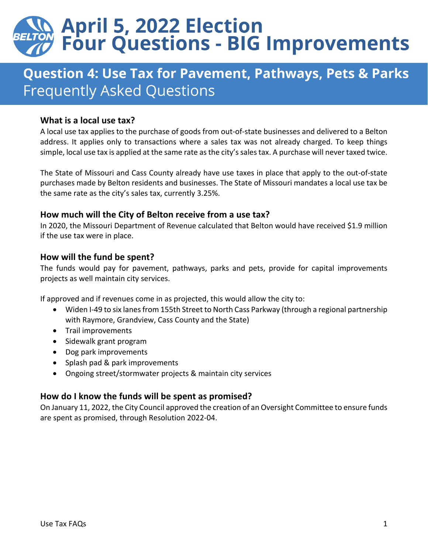# **April 5, 2022 Election<br>Four Questions - BIG Improvements**

# **Question 4: Use Tax for Pavement, Pathways, Pets & Parks Frequently Asked Questions**

# **What is a local use tax?**

A local use tax applies to the purchase of goods from out-of-state businesses and delivered to a Belton address. It applies only to transactions where a sales tax was not already charged. To keep things simple, local use tax is applied at the same rate as the city's sales tax. A purchase will never taxed twice.

The State of Missouri and Cass County already have use taxes in place that apply to the out-of-state purchases made by Belton residents and businesses. The State of Missouri mandates a local use tax be the same rate as the city's sales tax, currently 3.25%.

# **How much will the City of Belton receive from a use tax?**

In 2020, the Missouri Department of Revenue calculated that Belton would have received \$1.9 million if the use tax were in place.

# **How will the fund be spent?**

The funds would pay for pavement, pathways, parks and pets, provide for capital improvements projects as well maintain city services.

If approved and if revenues come in as projected, this would allow the city to:

- Widen I-49 to six lanes from 155th Street to North Cass Parkway (through a regional partnership with Raymore, Grandview, Cass County and the State)
- Trail improvements
- Sidewalk grant program
- Dog park improvements
- Splash pad & park improvements
- Ongoing street/stormwater projects & maintain city services

# **How do I know the funds will be spent as promised?**

On January 11, 2022, the City Council approved the creation of an Oversight Committee to ensure funds are spent as promised, through Resolution 2022-04.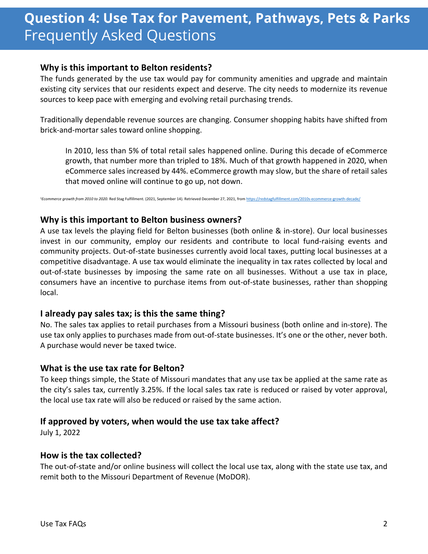# **Question 4: Use Tax for Pavement, Pathways, Pets & Parks Frequently Asked Questions**

### **Why is this important to Belton residents?**

The funds generated by the use tax would pay for community amenities and upgrade and maintain existing city services that our residents expect and deserve. The city needs to modernize its revenue sources to keep pace with emerging and evolving retail purchasing trends.

Traditionally dependable revenue sources are changing. Consumer shopping habits have shifted from brick-and-mortar sales toward online shopping.

In 2010, less than 5% of total retail sales happened online. During this decade of eCommerce growth, that number more than tripled to 18%. Much of that growth happened in 2020, when eCommerce sales increased by 44%. eCommerce growth may slow, but the share of retail sales that moved online will continue to go up, not down.

<sup>1</sup>Ecommerce growth from 2010 to 2020. Red Stag Fulfillment. (2021, September 14). Retrieved December 27, 2021, from https://redstagfulfillm

#### **Why is this important to Belton business owners?**

A use tax levels the playing field for Belton businesses (both online & in-store). Our local businesses invest in our community, employ our residents and contribute to local fund-raising events and community projects. Out-of-state businesses currently avoid local taxes, putting local businesses at a competitive disadvantage. A use tax would eliminate the inequality in tax rates collected by local and out-of-state businesses by imposing the same rate on all businesses. Without a use tax in place, consumers have an incentive to purchase items from out-of-state businesses, rather than shopping local.

#### **I already pay sales tax; is this the same thing?**

No. The sales tax applies to retail purchases from a Missouri business (both online and in-store). The use tax only applies to purchases made from out-of-state businesses. It's one or the other, never both. A purchase would never be taxed twice.

#### **What is the use tax rate for Belton?**

To keep things simple, the State of Missouri mandates that any use tax be applied at the same rate as the city's sales tax, currently 3.25%. If the local sales tax rate is reduced or raised by voter approval, the local use tax rate will also be reduced or raised by the same action.

# **If approved by voters, when would the use tax take affect?**

July 1, 2022

#### **How is the tax collected?**

The out-of-state and/or online business will collect the local use tax, along with the state use tax, and remit both to the Missouri Department of Revenue (MoDOR).